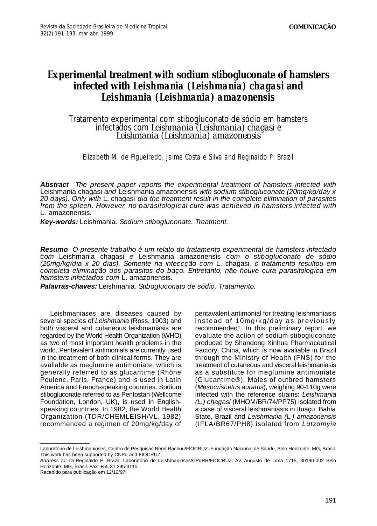## **Experimental treatment with sodium stibogluconate of hamsters** *infected with Leishmania (Leishmania) chagasi* and *Leishmania (Leishmania) amazonensis*

## Tratamento experimental com stibogluconato de sódio em hamsters infectados com *Leishmania (Leishmania) chagasi* e *Leishmania (Leishmania) amazonensis*

## Elizabeth M. de Figueiredo, Jaime Costa e Silva and Reginaldo P. Brazil

**Abstract** *The present paper reports the experimental treatment of hamsters infected with* Leishmania chagasi *and* Leishmania amazonensis *with sodium stibogluconate (20mg/kg/day x 20 days). Only with* L. chagasi *did the treatment result in the complete elimination of parasites f rom the spleen. However, no parasitological cure was achieved in hamsters infected with* L. amazonensis*.*

**Key-words:** Leishmania*. Sodium stibogluconate. Treatment.*

**Resumo** *O presente trabalho é um relato do tratamento experimental de hamsters infectado com* Leishmania chagasi *e* Leishmania amazonensis *com o stibogluconato de sódio (20mg/kg/dia x 20 dias). Somente na infeccção com* L. chagasi*, o tratamento resultou em completa eliminação dos parasitos do baço. Entretanto, não houve cura parasitologica em hamsters infectados com* L. amazonensis*.*

**Palavras-chaves:** Leishmania*. Stibogluconato de sódio. Tratamento.*

Leishmaniases are diseases caused by several species of *Leishmania* (Ross, 1903) and both visceral and cutaneous leishmaniasis are regarded by the World Health Organization (WHO) as two of most important health problems in the world. Pentavalent antimonials are currently used in the treatment of both clinical forms. They are avaliable as meglumine antimoniate, which is generally referred to as glucantime (Rhône Poulenc, Paris, France) and is used in Latin America and French-speaking countries. Sodium stibogluconate referred to as Pentostan (Wellcome Foundation, London, UK), is used in Englishspeaking countries. In 1982, the World Health Organization (TDR/CHEMLEISH/VL, 1982) recommended a regimen of 20mg/kg/day of

pentavalent antimonial for treating leishmaniasis instead of 10mg/kg/day as previously recommended1. In this preliminary report, we evaluate the action of sodium stibogluconate produced by Shandong Xinhua Pharmaceutical Factory, China, which is now avaliable in Brazil through the Ministry of Health (FNS) for the treatment of cutaneous and visceral leishmaniasis as a substitute for meglumine antimoniate (Glucantime®). Males of outbred hamsters (*Mesocriscetus auratus*), weighing 90-110g were infected with the reference strains: *Leishmania (L.) chagasi* (MHOM/BR/74/PP75) isolated from a case of visceral leishmaniasis in Ituaçu, Bahia State, Brazil and *Leishmania (L.) amazonensis* (IFLA/BR67/PH8) isolated from *Lutzomyia* 

Laboratório de Leishmanioses, Centro de Pesquisas René Rachou/FIOCRUZ. Fundação Nacional de Saúde, Belo Horizonte, MG, Brasil. This work has been supported by CNPq and FIOCRUZ.

*Address to:* Dr.Reginaldo P. Brazil. Laboratório de Leishmanioses/CPqRR/FIOCRUZ. Av. Augusto de Lima 1715, 30190-002 Belo Horizonte, MG, Brasil. Fax: +55 31 295-3115.

Recebido para publicação em 12/12/97.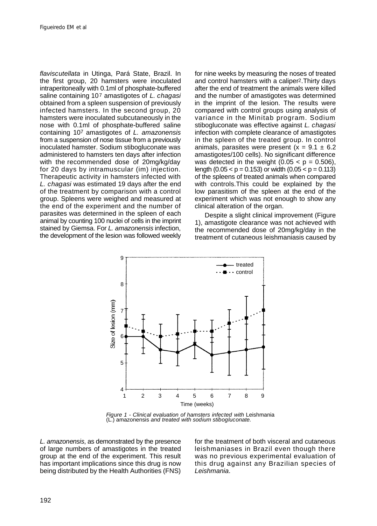*flaviscutellata* in Utinga, Pará State, Brazil. In the first group, 20 hamsters were inoculated intraperitoneally with 0.1ml of phosphate-buffered saline containing 107 amastigotes of *L. chagasi* obtained from a spleen suspension of previously infected hamsters. In the second group, 20 hamsters were inoculated subcutaneously in the nose with 0.1ml of phosphate-buffered saline containing 107 amastigotes of *L. amazonensis* from a suspension of nose tissue from a previously inoculated hamster. Sodium stibogluconate was administered to hamsters ten days after infection with the recommended dose of 20mg/kg/day for 20 days by intramuscular (im) injection. Therapeutic activity in hamsters infected with *L. chagasi* was estimated 19 days after the end of the treatment by comparison with a control group. Spleens were weighed and measured at the end of the experiment and the number of parasites was determined in the spleen of each animal by counting 100 nuclei of cells in the imprint stained by Giemsa. For *L. amazonensis* infection, the development of the lesion was followed weekly

for nine weeks by measuring the noses of treated and control hamsters with a caliper2.Thirty days after the end of treatment the animals were killed and the number of amastigotes was determined in the imprint of the lesion. The results were compared with control groups using analysis of variance in the Minitab program. Sodium stibogluconate was effective against *L. chagasi* infection with complete clearance of amastigotes in the spleen of the treated group. In control animals, parasites were present ( $x = 9.1 \pm 6.2$ amastigotes/100 cells). No significant difference was detected in the weight  $(0.05 < p = 0.506)$ , length  $(0.05 < p = 0.153)$  or width  $(0.05 < p = 0.113)$ of the spleens of treated animals when compared with controls.This could be explained by the low parasitism of the spleen at the end of the experiment which was not enough to show any clinical alteration of the organ.

Despite a slight clinical improvement (Figure 1), amastigote clearance was not achieved with the recommended dose of 20mg/kg/day in the treatment of cutaneous leishmaniasis caused by



*Figure 1 - Clinical evaluation of hamsters infected with* Leishmania (L.) amazonensis *and treated with sodium stibogluconate.*

*L. amazonensis*, as demonstrated by the presence of large numbers of amastigotes in the treated group at the end of the experiment. This result has important implications since this drug is now being distributed by the Health Authorities (FNS) for the treatment of both visceral and cutaneous leishmaniases in Brazil even though there was no previous experimental evaluation of this drug against any Brazilian species of *Leishmania*.